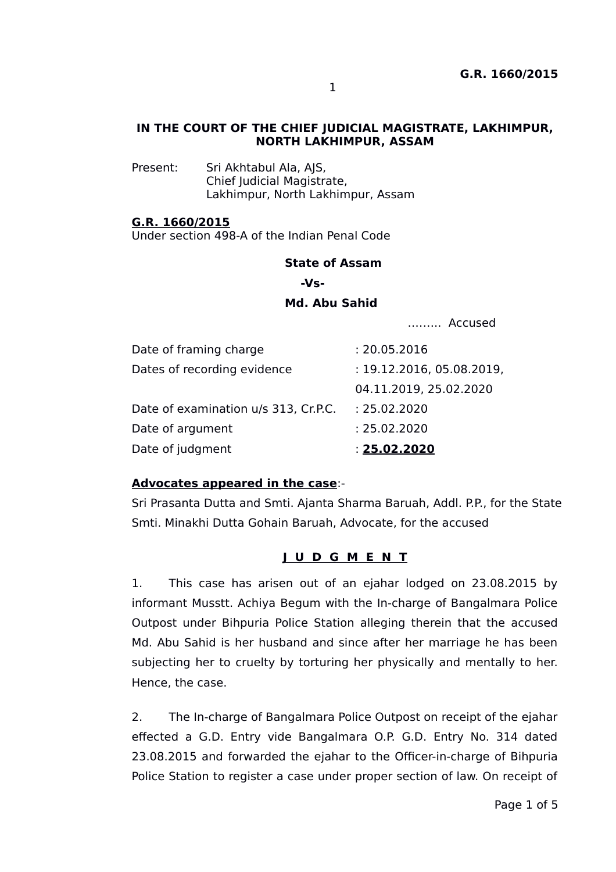## **IN THE COURT OF THE CHIEF JUDICIAL MAGISTRATE, LAKHIMPUR, NORTH LAKHIMPUR, ASSAM**

Present: Sri Akhtabul Ala, AJS, Chief Judicial Magistrate, Lakhimpur, North Lakhimpur, Assam

## **G.R. 1660/2015**

Under section 498-A of the Indian Penal Code

### **State of Assam**

 **-Vs-**

## **Md. Abu Sahid**

.…….. Accused

| Date of framing charge               | : 20.05.2016              |
|--------------------------------------|---------------------------|
| Dates of recording evidence          | : 19.12.2016, 05.08.2019, |
|                                      | 04.11.2019, 25.02.2020    |
| Date of examination u/s 313, Cr.P.C. | : 25.02.2020              |
| Date of argument                     | : 25.02.2020              |
| Date of judgment                     | : 25.02.2020              |

## **Advocates appeared in the case**:-

Sri Prasanta Dutta and Smti. Ajanta Sharma Baruah, Addl. P.P., for the State Smti. Minakhi Dutta Gohain Baruah, Advocate, for the accused

## **J U D G M E N T**

1. This case has arisen out of an ejahar lodged on 23.08.2015 by informant Musstt. Achiya Begum with the In-charge of Bangalmara Police Outpost under Bihpuria Police Station alleging therein that the accused Md. Abu Sahid is her husband and since after her marriage he has been subjecting her to cruelty by torturing her physically and mentally to her. Hence, the case.

2. The In-charge of Bangalmara Police Outpost on receipt of the ejahar effected a G.D. Entry vide Bangalmara O.P. G.D. Entry No. 314 dated 23.08.2015 and forwarded the ejahar to the Officer-in-charge of Bihpuria Police Station to register a case under proper section of law. On receipt of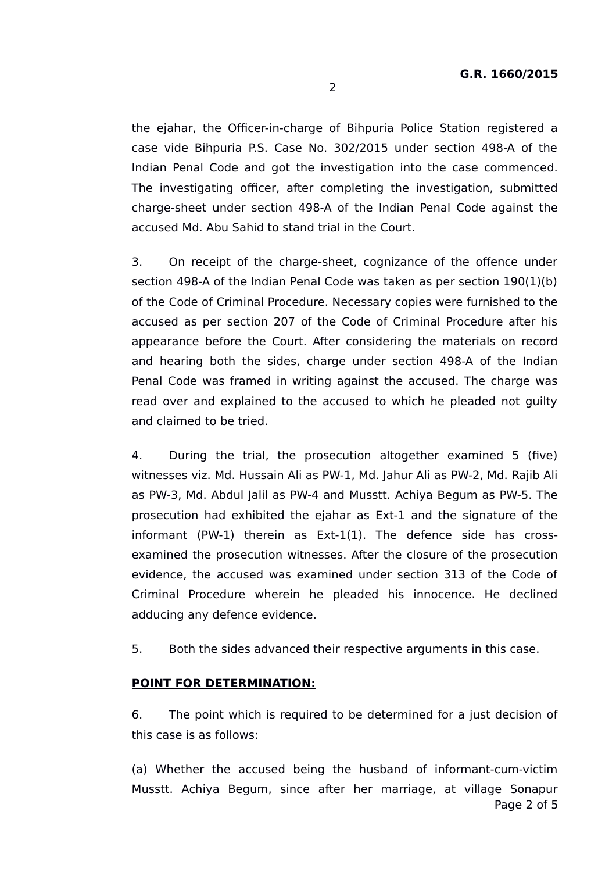the ejahar, the Officer-in-charge of Bihpuria Police Station registered a case vide Bihpuria P.S. Case No. 302/2015 under section 498-A of the Indian Penal Code and got the investigation into the case commenced. The investigating officer, after completing the investigation, submitted charge-sheet under section 498-A of the Indian Penal Code against the accused Md. Abu Sahid to stand trial in the Court.

3. On receipt of the charge-sheet, cognizance of the offence under section 498-A of the Indian Penal Code was taken as per section 190(1)(b) of the Code of Criminal Procedure. Necessary copies were furnished to the accused as per section 207 of the Code of Criminal Procedure after his appearance before the Court. After considering the materials on record and hearing both the sides, charge under section 498-A of the Indian Penal Code was framed in writing against the accused. The charge was read over and explained to the accused to which he pleaded not guilty and claimed to be tried.

4. During the trial, the prosecution altogether examined 5 (five) witnesses viz. Md. Hussain Ali as PW-1, Md. Jahur Ali as PW-2, Md. Rajib Ali as PW-3, Md. Abdul Jalil as PW-4 and Musstt. Achiya Begum as PW-5. The prosecution had exhibited the ejahar as Ext-1 and the signature of the informant (PW-1) therein as Ext-1(1). The defence side has crossexamined the prosecution witnesses. After the closure of the prosecution evidence, the accused was examined under section 313 of the Code of Criminal Procedure wherein he pleaded his innocence. He declined adducing any defence evidence.

5. Both the sides advanced their respective arguments in this case.

#### **POINT FOR DETERMINATION:**

6. The point which is required to be determined for a just decision of this case is as follows:

(a) Whether the accused being the husband of informant-cum-victim Musstt. Achiya Begum, since after her marriage, at village Sonapur Page 2 of 5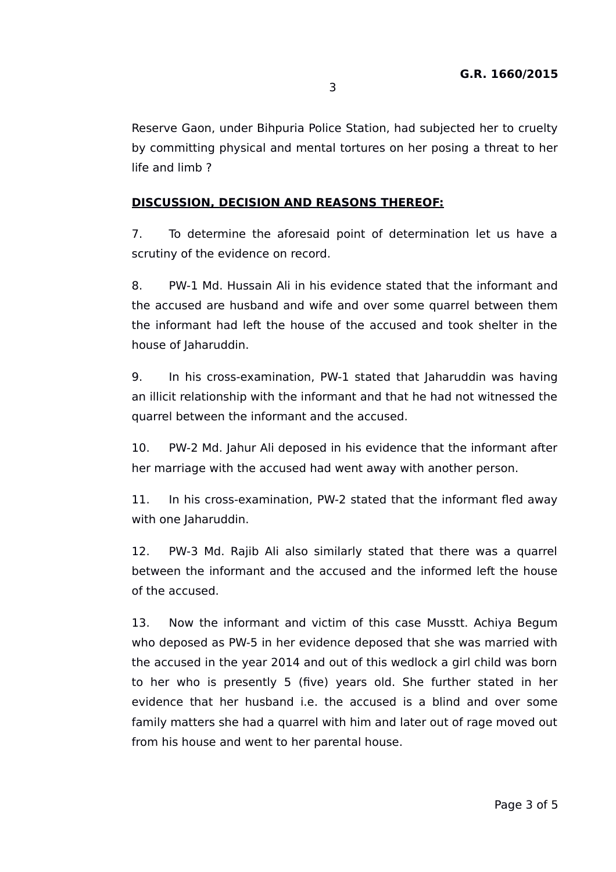Reserve Gaon, under Bihpuria Police Station, had subjected her to cruelty by committing physical and mental tortures on her posing a threat to her life and limb ?

# **DISCUSSION, DECISION AND REASONS THEREOF:**

7. To determine the aforesaid point of determination let us have a scrutiny of the evidence on record.

8. PW-1 Md. Hussain Ali in his evidence stated that the informant and the accused are husband and wife and over some quarrel between them the informant had left the house of the accused and took shelter in the house of Jaharuddin.

9. In his cross-examination, PW-1 stated that Jaharuddin was having an illicit relationship with the informant and that he had not witnessed the quarrel between the informant and the accused.

10. PW-2 Md. Jahur Ali deposed in his evidence that the informant after her marriage with the accused had went away with another person.

11. In his cross-examination, PW-2 stated that the informant fled away with one Jaharuddin.

12. PW-3 Md. Rajib Ali also similarly stated that there was a quarrel between the informant and the accused and the informed left the house of the accused.

13. Now the informant and victim of this case Musstt. Achiya Begum who deposed as PW-5 in her evidence deposed that she was married with the accused in the year 2014 and out of this wedlock a girl child was born to her who is presently 5 (five) years old. She further stated in her evidence that her husband i.e. the accused is a blind and over some family matters she had a quarrel with him and later out of rage moved out from his house and went to her parental house.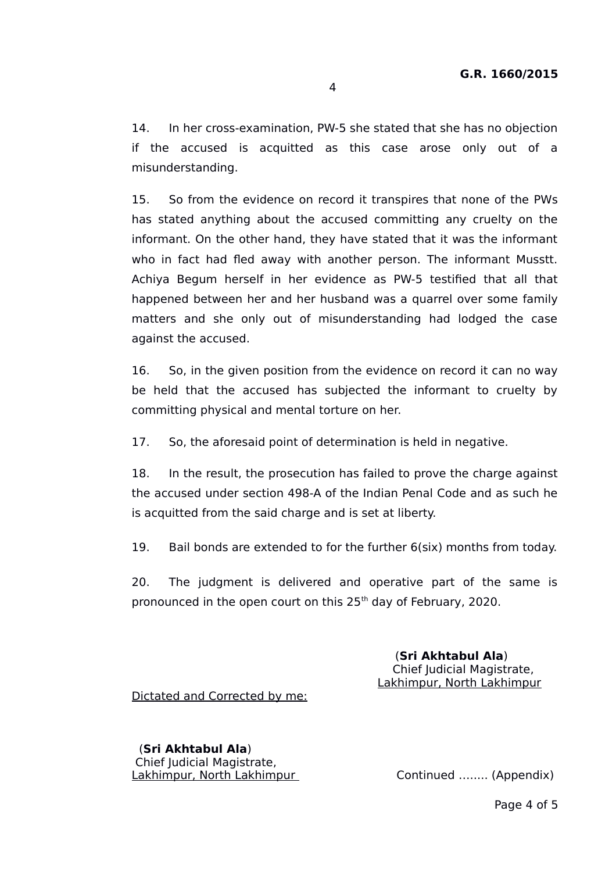14. In her cross-examination, PW-5 she stated that she has no objection if the accused is acquitted as this case arose only out of a misunderstanding.

15. So from the evidence on record it transpires that none of the PWs has stated anything about the accused committing any cruelty on the informant. On the other hand, they have stated that it was the informant who in fact had fled away with another person. The informant Musstt. Achiya Begum herself in her evidence as PW-5 testified that all that happened between her and her husband was a quarrel over some family matters and she only out of misunderstanding had lodged the case against the accused.

16. So, in the given position from the evidence on record it can no way be held that the accused has subjected the informant to cruelty by committing physical and mental torture on her.

17. So, the aforesaid point of determination is held in negative.

18. In the result, the prosecution has failed to prove the charge against the accused under section 498-A of the Indian Penal Code and as such he is acquitted from the said charge and is set at liberty.

19. Bail bonds are extended to for the further 6(six) months from today.

20. The judgment is delivered and operative part of the same is pronounced in the open court on this 25<sup>th</sup> day of February, 2020.

> (**Sri Akhtabul Ala**) Chief Judicial Magistrate, Lakhimpur, North Lakhimpur

Dictated and Corrected by me:

 (**Sri Akhtabul Ala**) Chief Judicial Magistrate, Lakhimpur, North Lakhimpur Continued ........ (Appendix)

Page 4 of 5